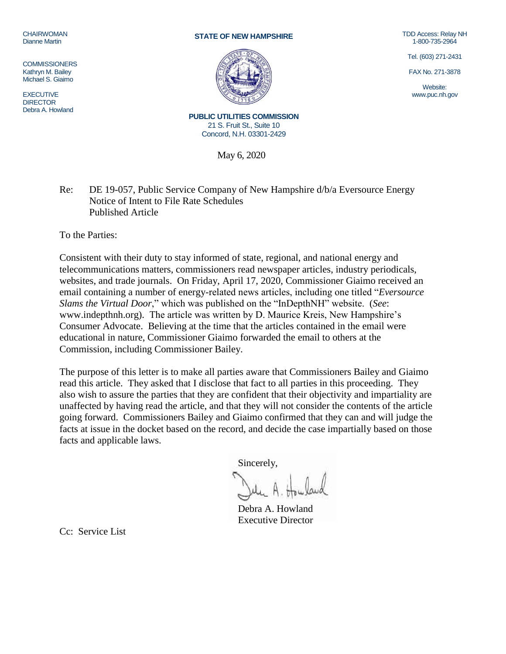## CHAIRWOMAN Dianne Martin

**COMMISSIONERS** Kathryn M. Bailey Michael S. Giaimo

EXECUTIVE **DIRECTOR** Debra A. Howland

## **STATE OF NEW HAMPSHIRE**



TDD Access: Relay NH 1-800-735-2964

Tel. (603) 271-2431

FAX No. 271-3878

Website: www.puc.nh.gov

**PUBLIC UTILITIES COMMISSION** 21 S. Fruit St., Suite 10 Concord, N.H. 03301-2429

May 6, 2020

Re: DE 19-057, Public Service Company of New Hampshire d/b/a Eversource Energy Notice of Intent to File Rate Schedules Published Article

To the Parties:

Consistent with their duty to stay informed of state, regional, and national energy and telecommunications matters, commissioners read newspaper articles, industry periodicals, websites, and trade journals. On Friday, April 17, 2020, Commissioner Giaimo received an email containing a number of energy-related news articles, including one titled "*Eversource Slams the Virtual Door*," which was published on the "InDepthNH" website. (*See*: [www.indepthnh.org\)](http://www.indepthnh.org/). The article was written by D. Maurice Kreis, New Hampshire's Consumer Advocate. Believing at the time that the articles contained in the email were educational in nature, Commissioner Giaimo forwarded the email to others at the Commission, including Commissioner Bailey.

The purpose of this letter is to make all parties aware that Commissioners Bailey and Giaimo read this article. They asked that I disclose that fact to all parties in this proceeding. They also wish to assure the parties that they are confident that their objectivity and impartiality are unaffected by having read the article, and that they will not consider the contents of the article going forward. Commissioners Bailey and Giaimo confirmed that they can and will judge the facts at issue in the docket based on the record, and decide the case impartially based on those facts and applicable laws.

Sincerely,

Debra A. Howland Executive Director

Cc: Service List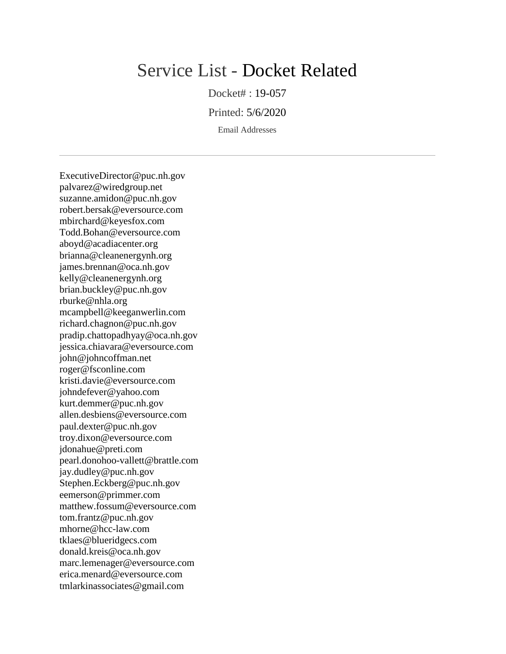## Service List - Docket Related

Docket# : 19-057

Printed: 5/6/2020

Email Addresses

ExecutiveDirector@puc.nh.gov palvarez@wiredgroup.net suzanne.amidon@puc.nh.gov robert.bersak@eversource.com mbirchard@keyesfox.com Todd.Bohan@eversource.com aboyd@acadiacenter.org brianna@cleanenergynh.org james.brennan@oca.nh.gov kelly@cleanenergynh.org brian.buckley@puc.nh.gov rburke@nhla.org mcampbell@keeganwerlin.com richard.chagnon@puc.nh.gov pradip.chattopadhyay@oca.nh.gov jessica.chiavara@eversource.com john@johncoffman.net roger@fsconline.com kristi.davie@eversource.com johndefever@yahoo.com kurt.demmer@puc.nh.gov allen.desbiens@eversource.com paul.dexter@puc.nh.gov troy.dixon@eversource.com jdonahue@preti.com pearl.donohoo-vallett@brattle.com jay.dudley@puc.nh.gov Stephen.Eckberg@puc.nh.gov eemerson@primmer.com matthew.fossum@eversource.com tom.frantz@puc.nh.gov mhorne@hcc-law.com tklaes@blueridgecs.com donald.kreis@oca.nh.gov marc.lemenager@eversource.com erica.menard@eversource.com tmlarkinassociates@gmail.com